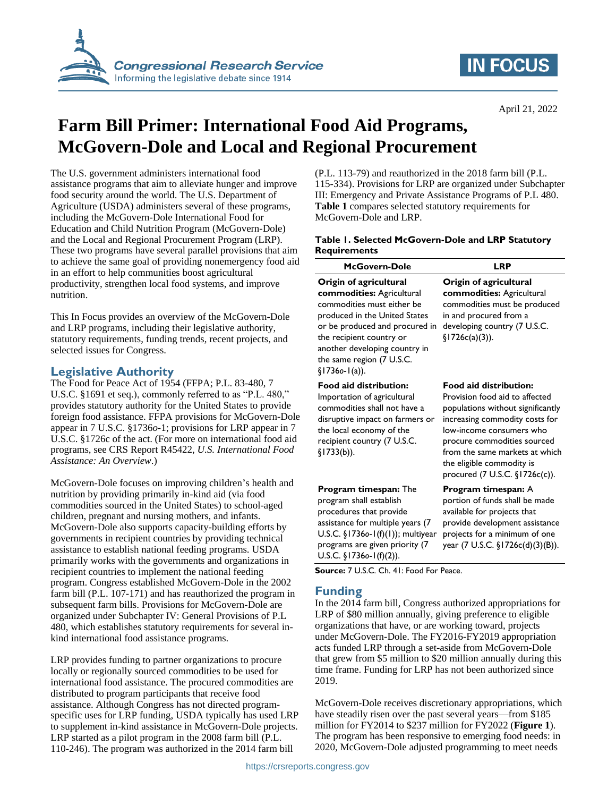

# **IN FOCUS**

April 21, 2022

# **Farm Bill Primer: International Food Aid Programs, McGovern-Dole and Local and Regional Procurement**

The U.S. government administers international food assistance programs that aim to alleviate hunger and improve food security around the world. The U.S. Department of Agriculture (USDA) administers several of these programs, including the McGovern-Dole International Food for Education and Child Nutrition Program (McGovern-Dole) and the Local and Regional Procurement Program (LRP). These two programs have several parallel provisions that aim to achieve the same goal of providing nonemergency food aid in an effort to help communities boost agricultural productivity, strengthen local food systems, and improve nutrition.

This In Focus provides an overview of the McGovern-Dole and LRP programs, including their legislative authority, statutory requirements, funding trends, recent projects, and selected issues for Congress.

## **Legislative Authority**

The Food for Peace Act of 1954 (FFPA; P.L. 83-480, 7 U.S.C. §1691 et seq.), commonly referred to as "P.L. 480," provides statutory authority for the United States to provide foreign food assistance. FFPA provisions for McGovern-Dole appear in 7 U.S.C. §1736*o*-1; provisions for LRP appear in 7 U.S.C. §1726c of the act. (For more on international food aid programs, see CRS Report R45422, *U.S. International Food Assistance: An Overview*.)

McGovern-Dole focuses on improving children's health and nutrition by providing primarily in-kind aid (via food commodities sourced in the United States) to school-aged children, pregnant and nursing mothers, and infants. McGovern-Dole also supports capacity-building efforts by governments in recipient countries by providing technical assistance to establish national feeding programs. USDA primarily works with the governments and organizations in recipient countries to implement the national feeding program. Congress established McGovern-Dole in the 2002 farm bill (P.L. 107-171) and has reauthorized the program in subsequent farm bills. Provisions for McGovern-Dole are organized under Subchapter IV: General Provisions of P.L 480, which establishes statutory requirements for several inkind international food assistance programs.

LRP provides funding to partner organizations to procure locally or regionally sourced commodities to be used for international food assistance. The procured commodities are distributed to program participants that receive food assistance. Although Congress has not directed programspecific uses for LRP funding, USDA typically has used LRP to supplement in-kind assistance in McGovern-Dole projects. LRP started as a pilot program in the 2008 farm bill (P.L. 110-246). The program was authorized in the 2014 farm bill

(P.L. 113-79) and reauthorized in the 2018 farm bill (P.L. 115-334). Provisions for LRP are organized under Subchapter III: Emergency and Private Assistance Programs of P.L 480. **[Table 1](#page-0-0)** compares selected statutory requirements for McGovern-Dole and LRP.

### <span id="page-0-0"></span>**Table 1. Selected McGovern-Dole and LRP Statutory Requirements**

| McGovern-Dole                                                                                                                                                                                                                                                       | <b>LRP</b>                                                                                                                                                                                                                                                                                         |
|---------------------------------------------------------------------------------------------------------------------------------------------------------------------------------------------------------------------------------------------------------------------|----------------------------------------------------------------------------------------------------------------------------------------------------------------------------------------------------------------------------------------------------------------------------------------------------|
| Origin of agricultural<br>commodities: Agricultural<br>commodities must either be<br>produced in the United States<br>or be produced and procured in<br>the recipient country or<br>another developing country in<br>the same region (7 U.S.C.<br>$\S$ 17360-1(a)). | Origin of agricultural<br>commodities: Agricultural<br>commodities must be produced<br>in and procured from a<br>developing country (7 U.S.C.<br>$\S1726c(a)(3)$ ).                                                                                                                                |
| <b>Food aid distribution:</b><br>Importation of agricultural<br>commodities shall not have a<br>disruptive impact on farmers or<br>the local economy of the<br>recipient country (7 U.S.C.<br>$\S$ 1733(b)).                                                        | <b>Food aid distribution:</b><br>Provision food aid to affected<br>populations without significantly<br>increasing commodity costs for<br>low-income consumers who<br>procure commodities sourced<br>from the same markets at which<br>the eligible commodity is<br>procured (7 U.S.C. §1726c(c)). |
| <b>Program timespan: The</b><br>program shall establish<br>procedures that provide<br>assistance for multiple years (7                                                                                                                                              | <b>Program timespan: A</b><br>portion of funds shall be made<br>available for projects that<br>provide development assistance                                                                                                                                                                      |

U.S.C. §1736*o*-1(f)(2)). **Source:** 7 U.S.C. Ch. 41: Food For Peace.

programs are given priority (7

# **Funding**

In the 2014 farm bill, Congress authorized appropriations for LRP of \$80 million annually, giving preference to eligible organizations that have, or are working toward, projects under McGovern-Dole. The FY2016-FY2019 appropriation acts funded LRP through a set-aside from McGovern-Dole that grew from \$5 million to \$20 million annually during this time frame. Funding for LRP has not been authorized since 2019.

U.S.C. §1736*o*-1(f)(1)); multiyear projects for a minimum of one

year (7 U.S.C. §1726c(d)(3)(B)).

McGovern-Dole receives discretionary appropriations, which have steadily risen over the past several years—from \$185 million for FY2014 to \$237 million for FY2022 (**[Figure 1](#page-1-0)**). The program has been responsive to emerging food needs: in 2020, McGovern-Dole adjusted programming to meet needs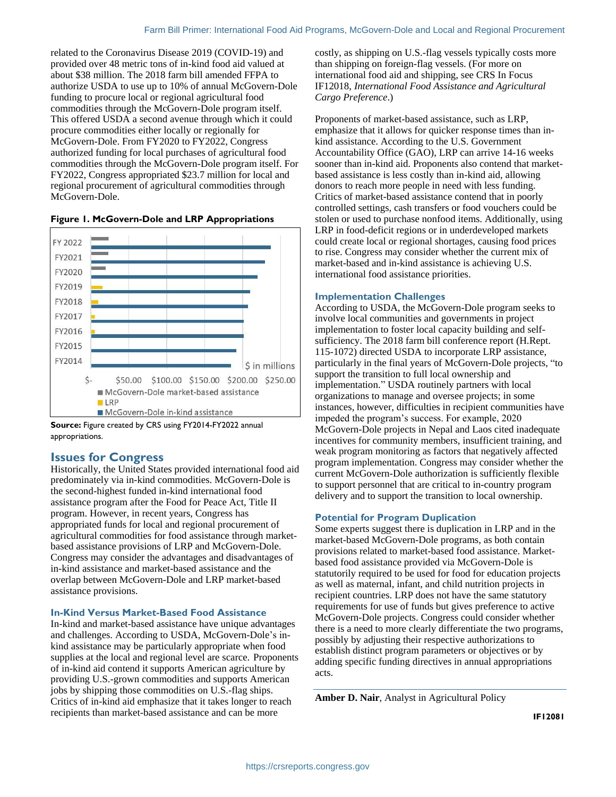related to the Coronavirus Disease 2019 (COVID-19) and provided over 48 metric tons of in-kind food aid valued at about \$38 million. The 2018 farm bill amended FFPA to authorize USDA to use up to 10% of annual McGovern-Dole funding to procure local or regional agricultural food commodities through the McGovern-Dole program itself. This offered USDA a second avenue through which it could procure commodities either locally or regionally for McGovern-Dole. From FY2020 to FY2022, Congress authorized funding for local purchases of agricultural food commodities through the McGovern-Dole program itself. For FY2022, Congress appropriated \$23.7 million for local and regional procurement of agricultural commodities through McGovern-Dole.



<span id="page-1-0"></span>**Figure 1. McGovern-Dole and LRP Appropriations**

**Source:** Figure created by CRS using FY2014-FY2022 annual appropriations.

### **Issues for Congress**

Historically, the United States provided international food aid predominately via in-kind commodities. McGovern-Dole is the second-highest funded in-kind international food assistance program after the Food for Peace Act, Title II program. However, in recent years, Congress has appropriated funds for local and regional procurement of agricultural commodities for food assistance through marketbased assistance provisions of LRP and McGovern-Dole. Congress may consider the advantages and disadvantages of in-kind assistance and market-based assistance and the overlap between McGovern-Dole and LRP market-based assistance provisions.

#### **In-Kind Versus Market-Based Food Assistance**

In-kind and market-based assistance have unique advantages and challenges. According to USDA, McGovern-Dole's inkind assistance may be particularly appropriate when food supplies at the local and regional level are scarce. Proponents of in-kind aid contend it supports American agriculture by providing U.S.-grown commodities and supports American jobs by shipping those commodities on U.S.-flag ships. Critics of in-kind aid emphasize that it takes longer to reach recipients than market-based assistance and can be more

costly, as shipping on U.S.-flag vessels typically costs more than shipping on foreign-flag vessels. (For more on international food aid and shipping, see CRS In Focus IF12018, *International Food Assistance and Agricultural Cargo Preference*.)

Proponents of market-based assistance, such as LRP, emphasize that it allows for quicker response times than inkind assistance. According to the U.S. Government Accountability Office (GAO), LRP can arrive 14-16 weeks sooner than in-kind aid. Proponents also contend that marketbased assistance is less costly than in-kind aid, allowing donors to reach more people in need with less funding. Critics of market-based assistance contend that in poorly controlled settings, cash transfers or food vouchers could be stolen or used to purchase nonfood items. Additionally, using LRP in food-deficit regions or in underdeveloped markets could create local or regional shortages, causing food prices to rise. Congress may consider whether the current mix of market-based and in-kind assistance is achieving U.S. international food assistance priorities.

### **Implementation Challenges**

According to USDA, the McGovern-Dole program seeks to involve local communities and governments in project implementation to foster local capacity building and selfsufficiency. The 2018 farm bill conference report (H.Rept. 115-1072) directed USDA to incorporate LRP assistance, particularly in the final years of McGovern-Dole projects, "to support the transition to full local ownership and implementation." USDA routinely partners with local organizations to manage and oversee projects; in some instances, however, difficulties in recipient communities have impeded the program's success. For example, 2020 McGovern-Dole projects in Nepal and Laos cited inadequate incentives for community members, insufficient training, and weak program monitoring as factors that negatively affected program implementation. Congress may consider whether the current McGovern-Dole authorization is sufficiently flexible to support personnel that are critical to in-country program delivery and to support the transition to local ownership.

#### **Potential for Program Duplication**

Some experts suggest there is duplication in LRP and in the market-based McGovern-Dole programs, as both contain provisions related to market-based food assistance. Marketbased food assistance provided via McGovern-Dole is statutorily required to be used for food for education projects as well as maternal, infant, and child nutrition projects in recipient countries. LRP does not have the same statutory requirements for use of funds but gives preference to active McGovern-Dole projects. Congress could consider whether there is a need to more clearly differentiate the two programs, possibly by adjusting their respective authorizations to establish distinct program parameters or objectives or by adding specific funding directives in annual appropriations acts.

**Amber D. Nair**, Analyst in Agricultural Policy